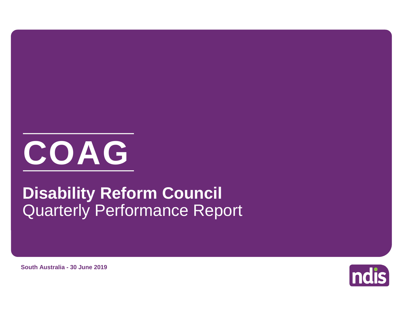

# Quarterly Performance Report **Disability Reform Council**

**ndis** 

**South Australia - 30 June 2019**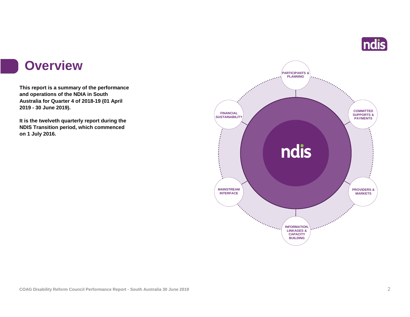

#### **Overview**

**This report is a summary of the performance and operations of the NDIA in South Australia for Quarter 4 of 2018-19 (01 April 2019 - 30 June 2019).**

**It is the twelveth quarterly report during the NDIS Transition period, which commenced on 1 July 2016.** 

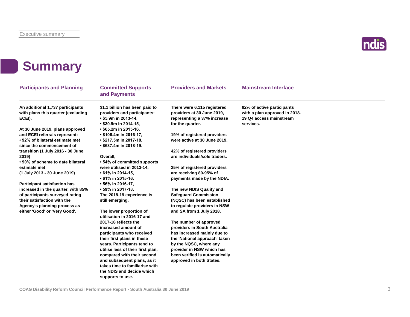in 1990.<br>Ngjarje



### **Summary**

| <b>Participants and Planning</b>                                                                                                                                                                                                                                                                                                                                                                                                                                                                                                                                        | <b>Committed Supports</b><br>and Payments                                                                                                                                                                                                                                                                                                                                                                                                                                                                                                                                                                                                                                                                                                                                                                                    | <b>Providers and Markets</b>                                                                                                                                                                                                                                                                                                                                                                                                                                                                                                                                                                                                                                                                                                             | <b>Mainstream Interface</b>                                                                         |  |
|-------------------------------------------------------------------------------------------------------------------------------------------------------------------------------------------------------------------------------------------------------------------------------------------------------------------------------------------------------------------------------------------------------------------------------------------------------------------------------------------------------------------------------------------------------------------------|------------------------------------------------------------------------------------------------------------------------------------------------------------------------------------------------------------------------------------------------------------------------------------------------------------------------------------------------------------------------------------------------------------------------------------------------------------------------------------------------------------------------------------------------------------------------------------------------------------------------------------------------------------------------------------------------------------------------------------------------------------------------------------------------------------------------------|------------------------------------------------------------------------------------------------------------------------------------------------------------------------------------------------------------------------------------------------------------------------------------------------------------------------------------------------------------------------------------------------------------------------------------------------------------------------------------------------------------------------------------------------------------------------------------------------------------------------------------------------------------------------------------------------------------------------------------------|-----------------------------------------------------------------------------------------------------|--|
| An additional 1,737 participants<br>with plans this quarter (excluding<br>ECEI).<br>At 30 June 2019, plans approved<br>and ECEI referrals represent:<br>• 92% of bilateral estimate met<br>since the commencement of<br>transition (1 July 2016 - 30 June<br>2019)<br>• 90% of scheme to date bilateral<br>estimate met<br>(1 July 2013 - 30 June 2019)<br><b>Participant satisfaction has</b><br>increased in the quarter, with 85%<br>of participants surveyed rating<br>their satisfaction with the<br>Agency's planning process as<br>either 'Good' or 'Very Good'. | \$1.1 billion has been paid to<br>providers and participants:<br>• \$5.9m in 2013-14,<br>$\cdot$ \$30.9m in 2014-15,<br>$\cdot$ \$65.2m in 2015-16,<br>$\cdot$ \$106.4m in 2016-17,<br>• \$217.5m in 2017-18,<br>• \$687.4m in 2018-19.<br>Overall.<br>• 54% of committed supports<br>were utilised in 2013-14,<br>$\cdot$ 61% in 2014-15,<br>• 61% in 2015-16,<br>• 56% in 2016-17,<br>• 59% in 2017-18.<br>The 2018-19 experience is<br>still emerging.<br>The lower proportion of<br>utilisation in 2016-17 and<br>2017-18 reflects the<br>increased amount of<br>participants who received<br>their first plans in these<br>years. Participants tend to<br>utilise less of their first plan,<br>compared with their second<br>and subsequent plans, as it<br>takes time to familiarise with<br>the NDIS and decide which | There were 6,115 registered<br>providers at 30 June 2019,<br>representing a 37% increase<br>for the quarter.<br>19% of registered providers<br>were active at 30 June 2019.<br>42% of registered providers<br>are individuals/sole traders.<br>25% of registered providers<br>are receiving 80-95% of<br>payments made by the NDIA.<br>The new NDIS Quality and<br><b>Safeguard Commission</b><br>(NQSC) has been established<br>to regulate providers in NSW<br>and SA from 1 July 2018.<br>The number of approved<br>providers in South Australia<br>has increased mainly due to<br>the 'National approach' taken<br>by the NQSC, where any<br>provider in NSW which has<br>been verified is automatically<br>approved in both States. | 92% of active participants<br>with a plan approved in 2018-<br>19 Q4 access mainstream<br>services. |  |
|                                                                                                                                                                                                                                                                                                                                                                                                                                                                                                                                                                         | supports to use.                                                                                                                                                                                                                                                                                                                                                                                                                                                                                                                                                                                                                                                                                                                                                                                                             |                                                                                                                                                                                                                                                                                                                                                                                                                                                                                                                                                                                                                                                                                                                                          |                                                                                                     |  |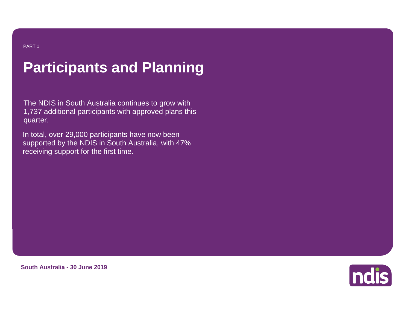# **Participants and Planning**

The NDIS in South Australia continues to grow with 1,737 additional participants with approved plans this quarter.

In total, over 29,000 participants have now been supported by the NDIS in South Australia, with 47% receiving support for the first time.



**South Australia - 30 June 2019**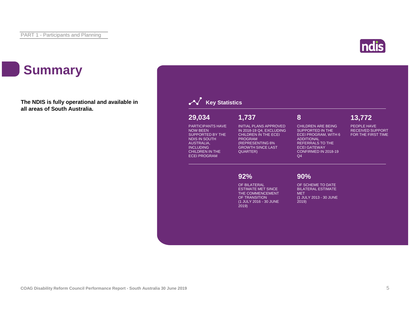

## **Summary**

**The NDIS is fully operational and available in all areas of South Australia.**

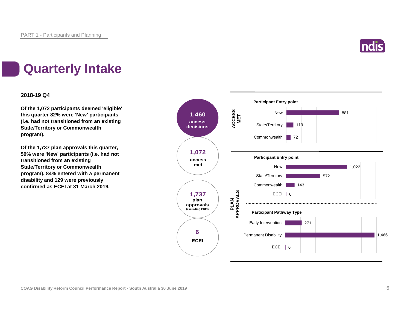

## **Quarterly Intake**

#### **2018-19 Q4**

**Of the 1,072 participants deemed 'eligible' this quarter 82% were 'New' participants (i.e. had not transitioned from an existing State/Territory or Commonwealth program).**

**Of the 1,737 plan approvals this quarter, 59% were 'New' participants (i.e. had not transitioned from an existing State/Territory or Commonwealth program), 84% entered with a permanent disability and 129 were previously confirmed as ECEI at 31 March 2019.**

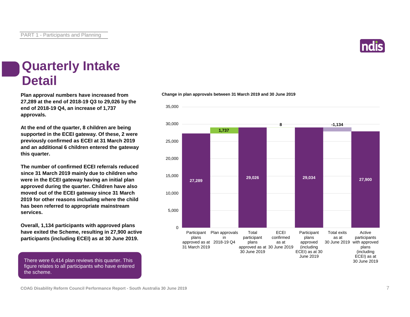

#### **Quarterly Intake Detail**

**27,289 at the end of 2018-19 Q3 to 29,026 by the end of 2018-19 Q4, an increase of 1,737 approvals.**

**At the end of the quarter, 8 children are being supported in the ECEI gateway. Of these, 2 were previously confirmed as ECEI at 31 March 2019 and an additional 6 children entered the gateway this quarter.**

**The number of confirmed ECEI referrals reduced since 31 March 2019 mainly due to children who were in the ECEI gateway having an initial plan approved during the quarter. Children have also moved out of the ECEI gateway since 31 March 2019 for other reasons including where the child has been referred to appropriate mainstream services.**

**Overall, 1,134 participants with approved plans have exited the Scheme, resulting in 27,900 active participants (including ECEI) as at 30 June 2019.**

There were 6,414 plan reviews this quarter. This figure relates to all participants who have entered the scheme.



#### **Plan approval numbers have increased from Change in plan approvals between 31 March 2019 and 30 June 2019**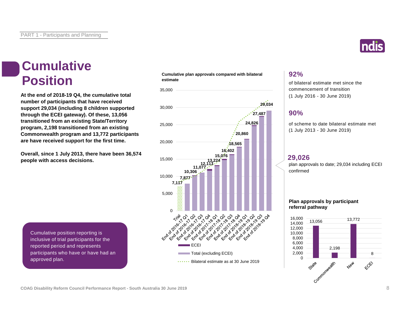### **Cumulative Position**

**At the end of 2018-19 Q4, the cumulative total number of participants that have received support 29,034 (including 8 children supported through the ECEI gateway). Of these, 13,056 transitioned from an existing State/Territory program, 2,198 transitioned from an existing Commonwealth program and 13,772 participants are have received support for the first time.**

**Overall, since 1 July 2013, there have been 36,574 people with access decisions.**

**Cumulative plan approvals compared with bilateral estimate**



**92%**

of bilateral estimate met since the commencement of transition (1 July 2016 - 30 June 2019)

#### **90%**

of scheme to date bilateral estimate met (1 July 2013 - 30 June 2019)

#### **29,026**

plan approvals to date; 29,034 including ECEI confirmed

#### **Plan approvals by participant referral pathway**



Cumulative position reporting is inclusive of trial participants for the reported period and represents participants who have or have had an approved plan.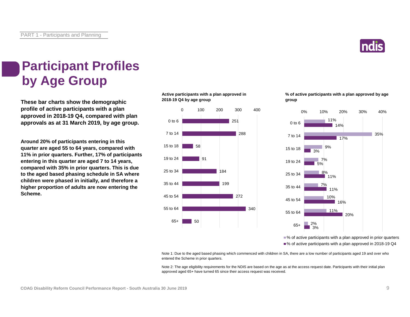

### **Participant Profiles by Age Group**

**These bar charts show the demographic profile of active participants with a plan approved in 2018-19 Q4, compared with plan approvals as at 31 March 2019, by age group.**

**Around 20% of participants entering in this quarter are aged 55 to 64 years, compared with 11% in prior quarters. Further, 17% of participants entering in this quarter are aged 7 to 14 years, compared with 35% in prior quarters. This is due to the aged based phasing schedule in SA where children were phased in initially, and therefore a higher proportion of adults are now entering the Scheme.**

**Active participants with a plan approved in 2018-19 Q4 by age group**



**% of active participants with a plan approved by age group**



■ % of active participants with a plan approved in prior quarters ■% of active participants with a plan approved in 2018-19 Q4

Note 1: Due to the aged based phasing which commenced with children in SA, there are a low number of participants aged 19 and over who entered the Scheme in prior quarters.

Note 2: The age eligibility requirements for the NDIS are based on the age as at the access request date. Participants with their initial plan approved aged 65+ have turned 65 since their access request was received.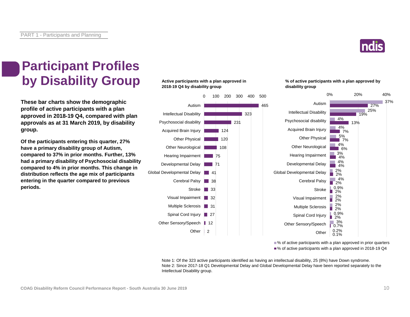

#### **Participant Profiles by Disability Group**

**These bar charts show the demographic profile of active participants with a plan approved in 2018-19 Q4, compared with plan approvals as at 31 March 2019, by disability group.**

**Of the participants entering this quarter, 27% have a primary disability group of Autism, compared to 37% in prior months. Further, 13% had a primary disability of Psychosocial disability compared to 4% in prior months. This change in distribution reflects the age mix of participants entering in the quarter compared to previous periods.**

#### **Active participants with a plan approved in 2018-19 Q4 by disability group**



#### **% of active participants with a plan approved by disability group**



■% of active participants with a plan approved in prior quarters ■% of active participants with a plan approved in 2018-19 Q4

Note 1: Of the 323 active participants identified as having an intellectual disability, 25 (8%) have Down syndrome. Note 2: Since 2017-18 Q1 Developmental Delay and Global Developmental Delay have been reported separately to the Intellectual Disability group.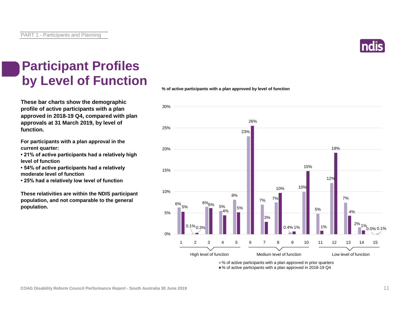

### **Participant Profiles by Level of Function**

**These bar charts show the demographic profile of active participants with a plan approved in 2018-19 Q4, compared with plan approvals at 31 March 2019, by level of function.**

**For participants with a plan approval in the current quarter:** 

**• 21% of active participants had a relatively high level of function**

**• 54% of active participants had a relatively moderate level of function** 

**• 25% had a relatively low level of function**

**These relativities are within the NDIS participant population, and not comparable to the general population.**

**% of active participants with a plan approved by level of function**



■% of active participants with a plan approved in prior quarters

■% of active participants with a plan approved in 2018-19 Q4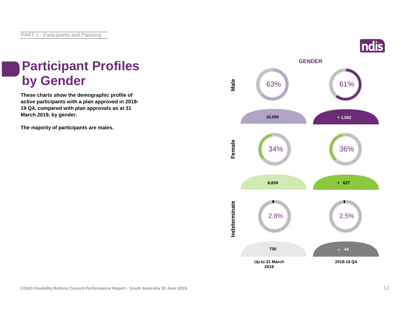# **Participant Profiles**

**These charts show the demographic profile of active participants with a plan approved in 2018- 19 Q4, compared with plan approvals as at 31 March 2019, by gender.**

**The majority of participants are males.**

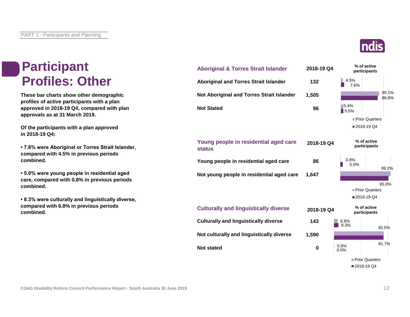### **Participant Profiles: Other**

**These bar charts show other demographic profiles of active participants with a plan approved in 2018-19 Q4, compared with plan approvals as at 31 March 2019.**

**Of the participants with a plan approved in 2018-19 Q4:**

**• 7.6% were Aboriginal or Torres Strait Islander, compared with 4.5% in previous periods combined.**

**• 5.0% were young people in residential aged care, compared with 0.8% in previous periods combined.**

**• 8.3% were culturally and linguistically diverse, compared with 6.8% in previous periods combined.**

| <b>Aboriginal &amp; Torres Strait Islander</b>         | 2018-19 Q4 |               | % of active<br>participants |  |
|--------------------------------------------------------|------------|---------------|-----------------------------|--|
| <b>Aboriginal and Torres Strait Islander</b>           | 132        | 4.5%<br>7.6%  |                             |  |
| Not Aboriginal and Torres Strait Islander              | 1,505      |               | 90.1%<br>86.8%              |  |
| <b>Not Stated</b>                                      | 96         | 5.4%<br>15.5% |                             |  |
|                                                        |            |               | Prior Quarters              |  |
|                                                        |            |               | ■2018-19 Q4                 |  |
| Young people in residential aged care<br><b>status</b> | 2018-19 Q4 |               | % of active<br>participants |  |
| Young people in residential aged care                  | 86         | 0.8%<br>5.0%  | 99.2%                       |  |
| Not young people in residential aged care              | 1,647      |               |                             |  |
|                                                        |            |               | 95.0%                       |  |
|                                                        |            |               | Prior Quarters              |  |
|                                                        |            |               | ■2018-19 Q4                 |  |
| <b>Culturally and linguistically diverse</b>           | 2018-19 Q4 |               | % of active<br>participants |  |
| <b>Culturally and linguistically diverse</b>           | 143        | 6.8%<br>8.3%  | 92.5%                       |  |
| Not culturally and linguistically diverse              | 1,590      |               |                             |  |
| <b>Not stated</b>                                      | 0          | 0.8%<br>0.0%  | 91.7%                       |  |



Prior Quarters 2018-19 Q4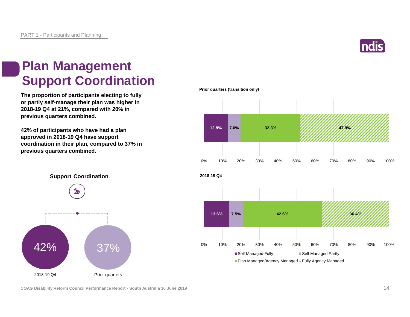

#### **Plan Management Support Coordination**

**The proportion of participants electing to fully or partly self-manage their plan was higher in 2018-19 Q4 at 21%, compared with 20% in previous quarters combined.**

**42% of participants who have had a plan approved in 2018-19 Q4 have support coordination in their plan, compared to 37% in previous quarters combined.**

**Prior quarters (transition only)**





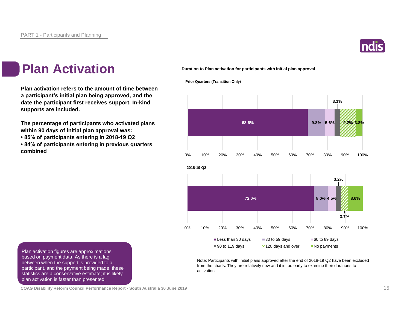

### **Plan Activation**

**Plan activation refers to the amount of time between a participant's initial plan being approved, and the date the participant first receives support. In-kind supports are included.**

**The percentage of participants who activated plans within 90 days of initial plan approval was:** 

**• 85% of participants entering in 2018-19 Q2**

**• 84% of participants entering in previous quarters combined**

**Duration to Plan activation for participants with initial plan approval**

**Prior Quarters (Transition Only)**



Note: Participants with initial plans approved after the end of 2018-19 Q2 have been excluded from the charts. They are relatively new and it is too early to examine their durations to activation.

Plan activation figures are approximations based on payment data. As there is a lag between when the support is provided to a participant, and the payment being made, these statistics are a conservative estimate; it is likely plan activation is faster than presented.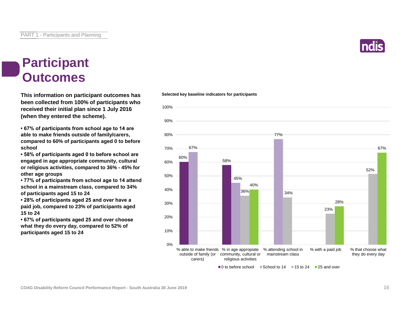

#### **Participant Outcomes**

**This information on participant outcomes has Selected key baseline indicators for participants been collected from 100% of participants who received their initial plan since 1 July 2016 (when they entered the scheme).**

**• 67% of participants from school age to 14 are able to make friends outside of family/carers, compared to 60% of participants aged 0 to before school**

**• 58% of participants aged 0 to before school are engaged in age appropriate community, cultural or religious activities, compared to 36% - 45% for other age groups**

**• 77% of participants from school age to 14 attend school in a mainstream class, compared to 34% of participants aged 15 to 24**

**• 28% of participants aged 25 and over have a paid job, compared to 23% of participants aged 15 to 24**

**• 67% of participants aged 25 and over choose what they do every day, compared to 52% of participants aged 15 to 24**

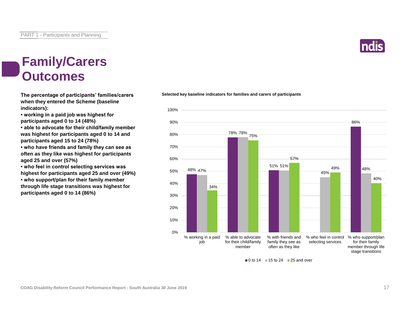

#### **Family/Carers Outcomes**

**The percentage of participants' families/carers when they entered the Scheme (baseline indicators):**

**• working in a paid job was highest for participants aged 0 to 14 (48%)**

**• able to advocate for their child/family member was highest for participants aged 0 to 14 and participants aged 15 to 24 (78%)**

**• who have friends and family they can see as often as they like was highest for participants aged 25 and over (57%)**

**• who feel in control selecting services was highest for participants aged 25 and over (49%)**

**• who support/plan for their family member through life stage transitions was highest for participants aged 0 to 14 (86%)**

#### **Selected key baseline indicators for families and carers of participants**



 $\Box$  0 to 14  $\Box$  15 to 24  $\Box$  25 and over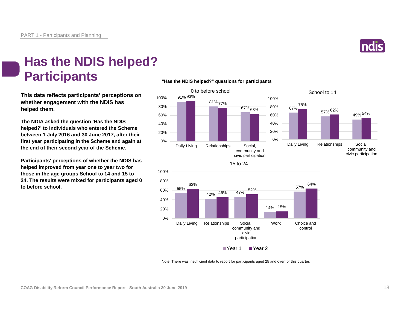

### **Has the NDIS helped? Participants**

**This data reflects participants' perceptions on whether engagement with the NDIS has helped them.**

**The NDIA asked the question 'Has the NDIS helped?' to individuals who entered the Scheme between 1 July 2016 and 30 June 2017, after their first year participating in the Scheme and again at the end of their second year of the Scheme.**

**Participants' perceptions of whether the NDIS has helped improved from year one to year two for those in the age groups School to 14 and 15 to 24. The results were mixed for participants aged 0 to before school.**

#### **"Has the NDIS helped?" questions for participants**







15 to 24

Note: There was insufficient data to report for participants aged 25 and over for this quarter.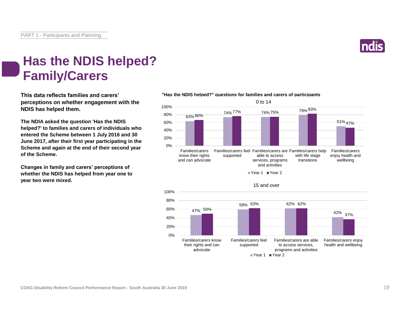

### **Has the NDIS helped? Family/Carers**

**This data reflects families and carers' perceptions on whether engagement with the NDIS has helped them.**

**The NDIA asked the question 'Has the NDIS helped?' to families and carers of individuals who entered the Scheme between 1 July 2016 and 30 June 2017, after their first year participating in the Scheme and again at the end of their second year of the Scheme.**

**Changes in family and carers' perceptions of whether the NDIS has helped from year one to year two were mixed.**



#### **"Has the NDIS helped?" questions for families and carers of participants**

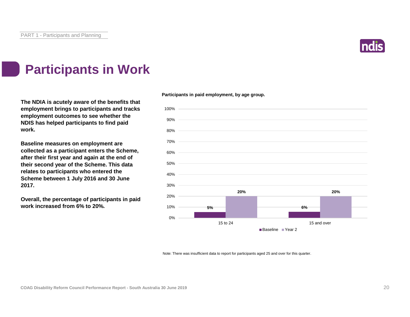

### **Participants in Work**

**The NDIA is acutely aware of the benefits that employment brings to participants and tracks employment outcomes to see whether the NDIS has helped participants to find paid work.**

**Baseline measures on employment are collected as a participant enters the Scheme, after their first year and again at the end of their second year of the Scheme. This data relates to participants who entered the Scheme between 1 July 2016 and 30 June 2017.**

**Overall, the percentage of participants in paid work increased from 6% to 20%.**





Note: There was insufficient data to report for participants aged 25 and over for this quarter.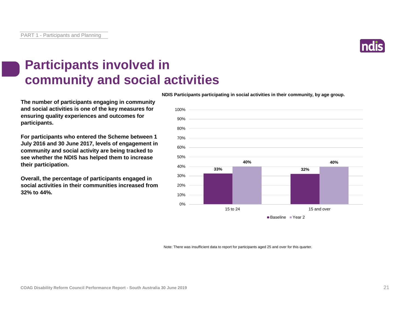

### **Participants involved in community and social activities**

**The number of participants engaging in community and social activities is one of the key measures for ensuring quality experiences and outcomes for participants.**

**For participants who entered the Scheme between 1 July 2016 and 30 June 2017, levels of engagement in community and social activity are being tracked to see whether the NDIS has helped them to increase their participation.**

**Overall, the percentage of participants engaged in social activities in their communities increased from 32% to 44%.**

**NDIS Participants participating in social activities in their community, by age group.**



Note: There was insufficient data to report for participants aged 25 and over for this quarter.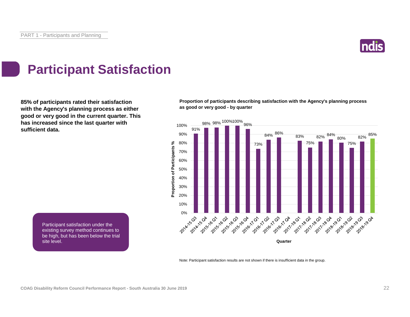

## **Participant Satisfaction**

**85% of participants rated their satisfaction with the Agency's planning process as either good or very good in the current quarter. This has increased since the last quarter with sufficient data.** 91%

**Proportion of participants describing satisfaction with the Agency's planning process as good or very good - by quarter**



Note: Participant satisfaction results are not shown if there is insufficient data in the group.

Participant satisfaction under the existing survey method continues to be high, but has been below the trial  $\mathsf{s}$ ite level. What happens and what happens  $\mathsf{h}$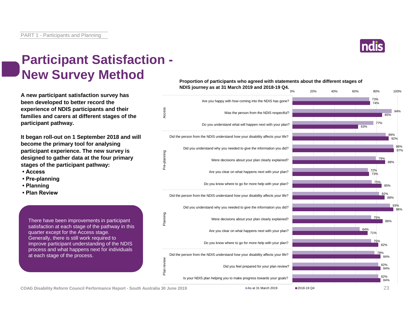

### **Participant Satisfaction - New Survey Method**

**A new participant satisfaction survey has been developed to better record the experience of NDIS participants and their families and carers at different stages of the participant pathway.**

**It began roll-out on 1 September 2018 and will become the primary tool for analysing participant experience. The new survey is designed to gather data at the four primary stages of the participant pathway:**

- **Access**
- **Pre-planning**
- **Planning**
- **Plan Review**

There have been improvements in participant satisfaction at each stage of the pathway in this quarter except for the Access stage. Generally, there is still work required to improve participant understanding of the NDIS process and what happens next for individuals at each stage of the process.





**COAG Disability Reform Council Performance Report - South Australia 30 June 2019** 23

 $\blacksquare$  As at 31 March 2019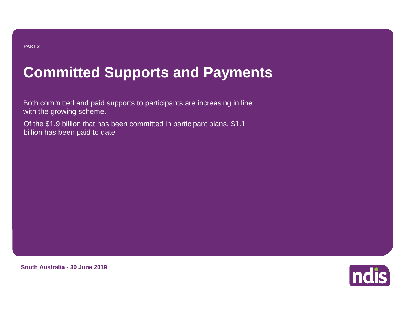#### PART 2

# **Committed Supports and Payments**

Both committed and paid supports to participants are increasing in line with the growing scheme.

Of the \$1.9 billion that has been committed in participant plans, \$1.1 billion has been paid to date.



**South Australia - 30 June 2019**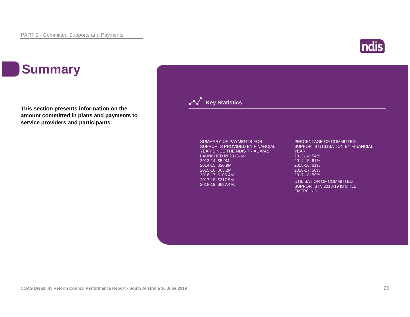

### **Summary**

**This section presents information on the amount committed in plans and payments to service providers and participants.**

> SUMMARY OF PAYMENTS FOR SUPPORTS PROVIDED BY FINANCIAL YEAR SINCE THE NDIS TRIAL WAS LAUNCHED IN 2013-14: 2013-14: \$5.9M 2014-15: \$30.9M 2015-16: \$65.2M 2016-17: \$106.4M 2017-18: \$217.5M 2018-19: \$687.4M.

**Key Statistics** 

PERCENTAGE OF COMMITTED SUPPORTS UTILISATION BY FINANCIAL YEAR: 2013-14: 54% 2014-15: 61% 2015-16: 61% 2016-17: 56% 2017-18: 59% UTILISATION OF COMMITTED

SUPPORTS IN 2018-19 IS STILL EMERGING.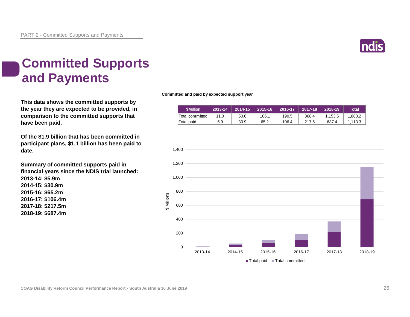

### **Committed Supports and Payments**

**This data shows the committed supports by the year they are expected to be provided, in comparison to the committed supports that have been paid.**

**Of the \$1.9 billion that has been committed in participant plans, \$1.1 billion has been paid to date.**

**Summary of committed supports paid in financial years since the NDIS trial launched: 2013-14: \$5.9m 2014-15: \$30.9m 2015-16: \$65.2m 2016-17: \$106.4m 2017-18: \$217.5m 2018-19: \$687.4m**

#### **Committed and paid by expected support year**

| <b>SMillion</b> | 2013-14 | 2014-15 | 2015-16 | 2016-17 | 2017-18 | 2018-19 | Total   |
|-----------------|---------|---------|---------|---------|---------|---------|---------|
| Total committed | 11.0    | 50.6    | 106.1   | 190.5   | 368.4   | 1.153.5 | 1.880.2 |
| Total paid      | 5.9     | 30.9    | 65.2    | 106.4   | 217.5   | 687.4   | 1.113.3 |

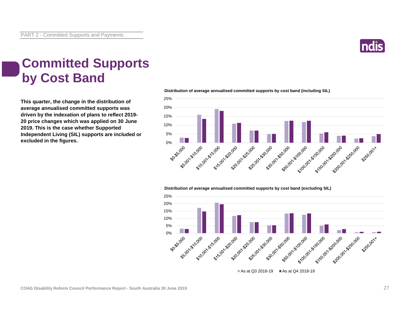

### **Committed Supports by Cost Band**

**This quarter, the change in the distribution of average annualised committed supports was driven by the indexation of plans to reflect 2019- 20 price changes which was applied on 30 June 2019. This is the case whether Supported Independent Living (SIL) supports are included or excluded in the figures.**



**Distribution of average annualised committed supports by cost band (including SIL)** 

#### **Distribution of average annualised committed supports by cost band (excluding SIL)**



As at Q3 2018-19 As at Q4 2018-19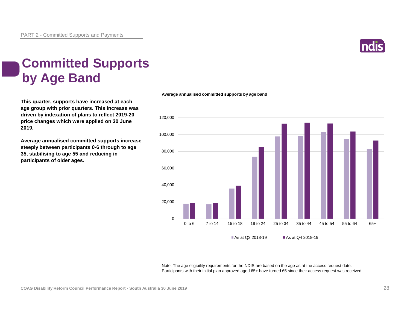

### **Committed Supports by Age Band**

**This quarter, supports have increased at each age group with prior quarters. This increase was driven by indexation of plans to reflect 2019-20 price changes which were applied on 30 June 2019.**

**Average annualised committed supports increase steeply between participants 0-6 through to age 35, stabilising to age 55 and reducing in participants of older ages.**

#### **Average annualised committed supports by age band**



Note: The age eligibility requirements for the NDIS are based on the age as at the access request date. Participants with their initial plan approved aged 65+ have turned 65 since their access request was received.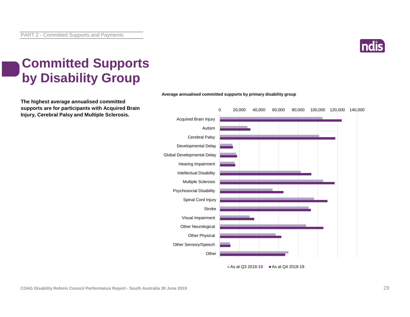

### **Committed Supports by Disability Group**

**The highest average annualised committed supports are for participants with Acquired Brain Injury, Cerebral Palsy and Multiple Sclerosis.**



As at Q3 2018-19 As at Q4 2018-19

#### **Average annualised committed supports by primary disability group**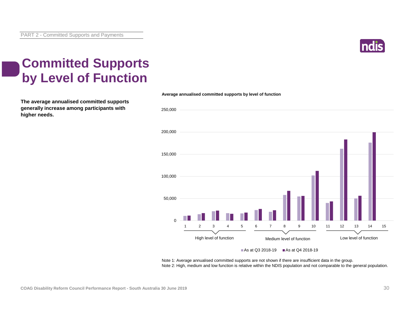

### **Committed Supports by Level of Function**

**The average annualised committed supports generally increase among participants with higher needs.**



Note 1: Average annualised committed supports are not shown if there are insufficient data in the group. Note 2: High, medium and low function is relative within the NDIS population and not comparable to the general population.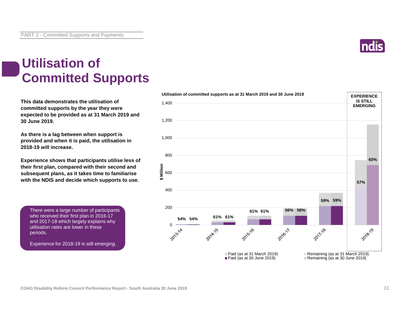

### **Utilisation of Committed Supports**

**This data demonstrates the utilisation of committed supports by the year they were expected to be provided as at 31 March 2019 and 30 June 2019.** 

**As there is a lag between when support is provided and when it is paid, the utilisation in 2018-19 will increase.**

**Experience shows that participants utilise less of their first plan, compared with their second and subsequent plans, as it takes time to familiarise with the NDIS and decide which supports to use.** 

There were a large number of participants who received their first plan in 2016-17 and 2017-18 which largely explains why utilisation rates are lower in these periods.

Experience for 2018-19 is still emerging.

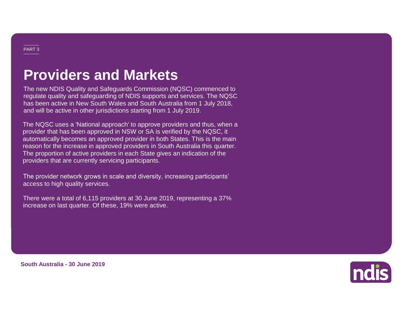### **Providers and Markets**

The new NDIS Quality and Safeguards Commission (NQSC) commenced to regulate quality and safeguarding of NDIS supports and services. The NQSC has been active in New South Wales and South Australia from 1 July 2018, and will be active in other jurisdictions starting from 1 July 2019.

The NQSC uses a 'National approach' to approve providers and thus, when a provider that has been approved in NSW or SA is verified by the NQSC, it automatically becomes an approved provider in both States. This is the main reason for the increase in approved providers in South Australia this quarter. The proportion of active providers in each State gives an indication of the providers that are currently servicing participants.

The provider network grows in scale and diversity, increasing participants' access to high quality services.

There were a total of 6,115 providers at 30 June 2019, representing a 37% increase on last quarter. Of these, 19% were active.



**South Australia - 30 June 2019**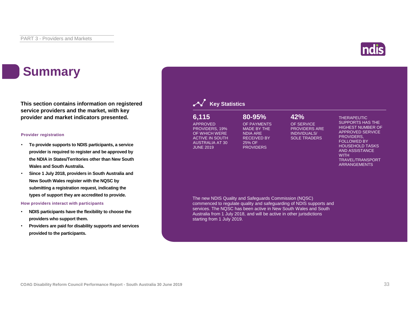

### **Summary**

**This section contains information on registered service providers and the market, with key provider and market indicators presented.**

#### **Provider registration**

- **To provide supports to NDIS participants, a service provider is required to register and be approved by the NDIA in States/Territories other than New South Wales and South Australia.**
- **Since 1 July 2018, providers in South Australia and New South Wales register with the NQSC by submitting a registration request, indicating the types of support they are accredited to provide.**

#### **How providers interact with participants**

- **NDIS participants have the flexibility to choose the providers who support them.**
- **Providers are paid for disability supports and services provided to the participants.**



| 6,115                  | $80 - 95%$         | 42%               |
|------------------------|--------------------|-------------------|
| <b>APPROVED</b>        | OF PAYMENTS        | OF SEF            |
| PROVIDERS, 19%         | MADE BY THE        | <b>PROVII</b>     |
| OF WHICH WERE          | <b>NDIA ARE</b>    | <b>INDIVIE</b>    |
| <b>ACTIVE IN SOUTH</b> | <b>RECEIVED BY</b> | SOLE <sub>1</sub> |
| <b>AUSTRALIA AT 30</b> | 25% OF             |                   |
| <b>JUNE 2019</b>       | <b>PROVIDERS</b>   |                   |

OF SERVICE PROVIDERS ARE

> INDIVIDUALS/ SOLE TRADERS

THERAPEUTIC SUPPORTS HAS THE HIGHEST NUMBER OF APPROVED SERVICE PROVIDERS, FOLLOWED BY HOUSEHOLD TASKS AND ASSISTANCE **WITH** TRAVEL/TRANSPORT ARRANGEMENTS

The new NDIS Quality and Safeguards Commission (NQSC) commenced to regulate quality and safeguarding of NDIS supports and services. The NQSC has been active in New South Wales and South Australia from 1 July 2018, and will be active in other jurisdictions starting from 1 July 2019.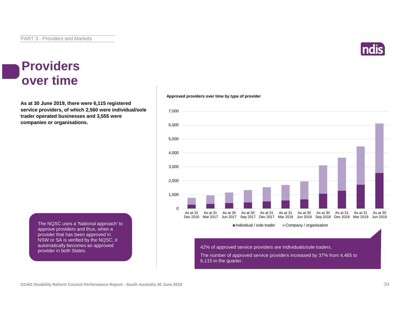

#### **Providers over time**

**As at 30 June 2019, there were 6,115 registered service providers, of which 2,560 were individual/sole trader operated businesses and 3,555 were companies or organisations.**

> The NQSC uses a 'National approach' to approve providers and thus, when a provider that has been approved in NSW or SA is verified by the NQSC, it automatically becomes an approved provider in both States.





42% of approved service providers are individuals/sole traders.

The number of approved service providers increased by 37% from 4,465 to 6,115 in the quarter.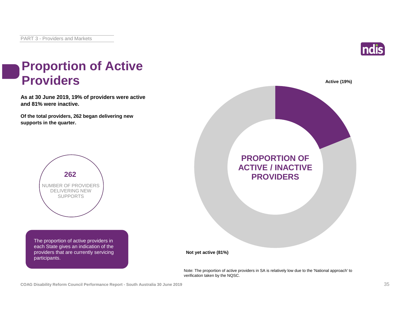

# **Proportion of Active**

**As at 30 June 2019, 19% of providers were active and 81% were inactive.**

**Of the total providers, 262 began delivering new supports in the quarter.**



The proportion of active providers in each State gives an indication of the providers that are currently servicing participants.



Note: The proportion of active providers in SA is relatively low due to the 'National approach' to verification taken by the NQSC.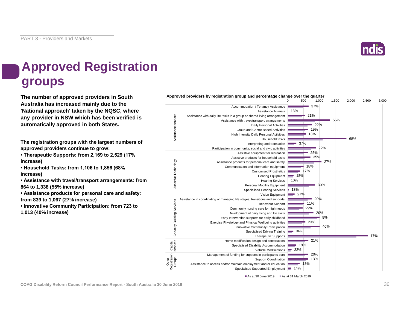

### **Approved Registration groups**

**The number of approved providers in South Approved providers by registration group and percentage change over the quarter Australia has increased mainly due to the 'National approach' taken by the NQSC, where any provider in NSW which has been verified is automatically approved in both States.**

**The registration groups with the largest numbers of approved providers continue to grow:**

**• Therapeutic Supports: from 2,169 to 2,529 (17% increase)**

**• Household Tasks: from 1,106 to 1,856 (68% increase)**

**• Assistance with travel/transport arrangements: from 864 to 1,338 (55% increase)**

**• Assistance products for personal care and safety: from 839 to 1,067 (27% increase)**

**• Innovative Community Participation: from 723 to 1,013 (40% increase)**



As at 30 June 2019 **As at 31 March 2019**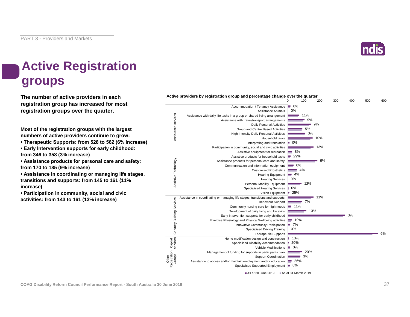

### **Active Registration groups**

**The number of active providers in each registration group has increased for most registration groups over the quarter.**

**Most of the registration groups with the largest numbers of active providers continue to grow:**

- **Therapeutic Supports: from 528 to 562 (6% increase)**
- **Early Intervention supports for early childhood: from 346 to 358 (3% increase)**

**• Assistance products for personal care and safety: from 170 to 185 (9% increase)**

**• Assistance in coordinating or managing life stages, transitions and supports: from 145 to 161 (11% increase)**

**• Participation in community, social and civic activities: from 143 to 161 (13% increase)**

**Active providers by registration group and percentage change over the quarter** 0 100 200 300 400 500 600 Accommodation / Tenancy Assistance **6%** 0% Assistance Animals ance services Assistance services 11% Assistance with daily life tasks in a group or shared living arrangement Assistance with travel/transport arrangements 9% Daily Personal Activities 9% 5% Group and Centre Based Activities 3% High Intensity Daily Personal Activities Household tasks 10% Interpreting and translation  $\equiv 0\%$ 13% Participation in community, social and civic activities Assistive equipment for recreation 8%  $-29%$ Assistive products for household tasks Assistive Technology Assistive Technology 9% Assistance products for personal care and safety Communication and information equipment  $\equiv$  6% Customised Prosthetics 4% Hearing Equipment | 4% Hearing Services 0% Personal Mobility Equipment 12% Specialised Hearing Services  $10%$  $25%$ Vision Equipment Assistance in coordinating or managing life stages, transitions and supports 11% Capacity Building Services 7% Behaviour Support **Building Servic** Community nursing care for high needs **11%** 13% Development of daily living and life skills 3% Early Intervention supports for early childhood  $-19%$ Exercise Physiology and Physical Wellbeing activities Capacity Innovative Community Participation **7%** Specialised Driving Training 0%  $6%$ Therapeutic Supports  $13%$ Home modification design and construction Capital services ■ 20% Specialised Disability Accommodation Vehicle Modifications **0%**  $-20%$ Management of funding for supports in participants plan Registration Groups  $-3%$ Other Support Coordination Assistance to access and/or maintain employment and/or education  $-26%$ Specialised Supported Employment **8%** As at 30 June 2019 As at 31 March 2019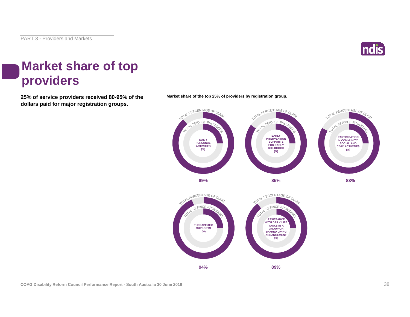

#### **Market share of top providers**

**25% of service providers received 80-95% of the Market share of the top 25% of providers by registration group. dollars paid for major registration groups.**



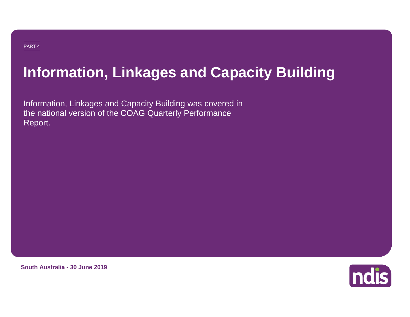# **Information, Linkages and Capacity Building**

Information, Linkages and Capacity Building was covered in the national version of the COAG Quarterly Performance Report.

**South Australia - 30 June 2019**

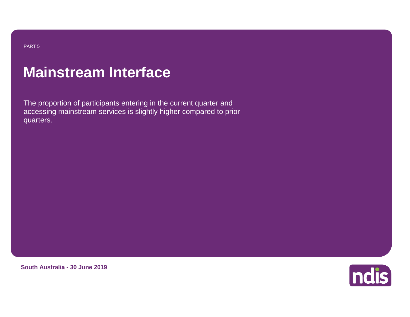## **Mainstream Interface**

The proportion of participants entering in the current quarter and accessing mainstream services is slightly higher compared to prior quarters.

**South Australia - 30 June 2019**

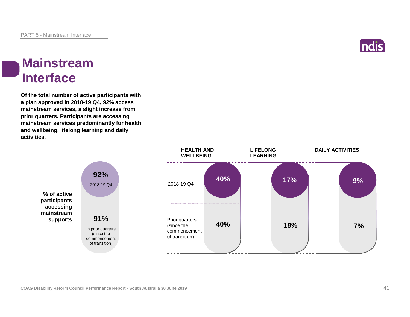

#### **Mainstream Interface**

**Of the total number of active participants with a plan approved in 2018-19 Q4, 92% access mainstream services, a slight increase from prior quarters. Participants are accessing mainstream services predominantly for health and wellbeing, lifelong learning and daily activities.**